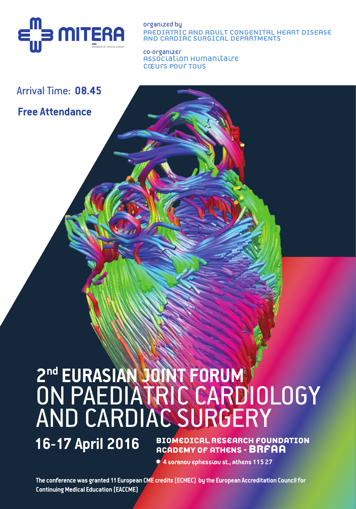

Organized by Paediatric and Adult Congenital Heart Disease and Cardiac Surgical Departments

co-organizer Association Humanitaire Cœurs Pour Tous

## Arrival Time: **08.45**

## **Free Attendance**

# **2nd EURASIAN JOINT FORUM** ON PAEDIATRIC CARDIOLOGY AND CARDIAC SURGERY

**16-17 April 2016** BIOMEDICAL RESEARCH FOUNDATION **ACADEMY OF ATHENS - BRFAA**

 **4 Soranou Ephessiou St., Athens 115 27**

**The conference was granted 11 European CME credits (ECMEC) by the European Accreditation Council for Continuing Medical Education (EACCME)**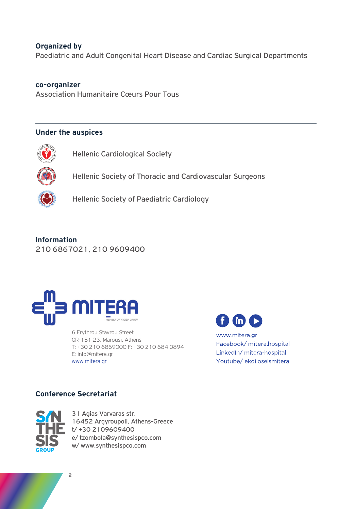#### **Organized by**

Paediatric and Adult Congenital Heart Disease and Cardiac Surgical Departments

#### **co-organizer**

Association Humanitaire Cœurs Pour Tous

#### **Under the auspices**



Hellenic Cardiological Society



Hellenic Society of Thoracic and Cardiovascular Surgeons



Hellenic Society of Paediatric Cardiology

**Information** 210 6867021, 210 9609400



6 Erythrou Stavrou Street GR-151 23, Marousi, Athens T: +30 210 6869000 F: +30 210 684 0894 E: info@mitera.gr www.mitera.gr



www.mitera.gr Facebook/mitera.hospital LinkedIn/ mitera-hospital Youtube/ekdiloseismitera

#### **Conference Secretariat**



31 Agias Varvaras str. 16452 Argyroupoli, Athens-Greece t/ +30 2109609400 e/ tzombola@synthesispco.com w/ www.synthesispco.com

**2**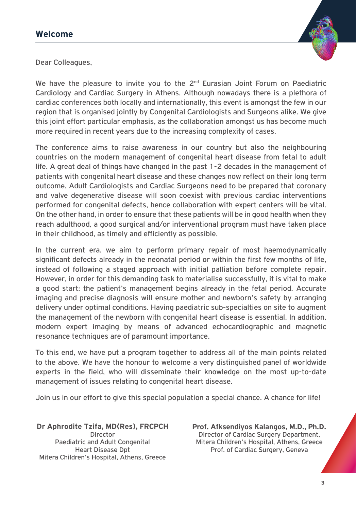

Dear Colleagues,

We have the pleasure to invite you to the  $2<sup>nd</sup>$  Eurasian Joint Forum on Paediatric Cardiology and Cardiac Surgery in Athens. Although nowadays there is a plethora of cardiac conferences both locally and internationally, this event is amongst the few in our region that is organised jointly by Congenital Cardiologists and Surgeons alike. We give this joint effort particular emphasis, as the collaboration amongst us has become much more required in recent years due to the increasing complexity of cases.

The conference aims to raise awareness in our country but also the neighbouring countries on the modern management of congenital heart disease from fetal to adult life. A great deal of things have changed in the past 1-2 decades in the management of patients with congenital heart disease and these changes now reflect on their long term outcome. Adult Cardiologists and Cardiac Surgeons need to be prepared that coronary and valve degenerative disease will soon coexist with previous cardiac interventions performed for congenital defects, hence collaboration with expert centers will be vital. On the other hand, in order to ensure that these patients will be in good health when they reach adulthood, a good surgical and/or interventional program must have taken place in their childhood, as timely and efficiently as possible.

In the current era, we aim to perform primary repair of most haemodynamically significant defects already in the neonatal period or within the first few months of life, instead of following a staged approach with initial palliation before complete repair. However, in order for this demanding task to materialise successfully, it is vital to make a good start: the patient's management begins already in the fetal period. Accurate imaging and precise diagnosis will ensure mother and newborn's safety by arranging delivery under optimal conditions. Having paediatric sub-specialties on site to augment the management of the newborn with congenital heart disease is essential. In addition, modern expert imaging by means of advanced echocardiographic and magnetic resonance techniques are of paramount importance.

To this end, we have put a program together to address all of the main points related to the above. We have the honour to welcome a very distinguished panel of worldwide experts in the field, who will disseminate their knowledge on the most up-to-date management of issues relating to congenital heart disease.

Join us in our effort to give this special population a special chance. A chance for life!

**Dr Aphrodite Tzifa, MD(Res), FRCPCH** Director Paediatric and Adult Congenital Heart Disease Dpt Mitera Children's Hospital, Athens, Greece

**Prof. Afksendiyos Kalangos, M.D., Ph.D.** Director of Cardiac Surgery Department, Mitera Children's Hospital, Athens, Greece Prof. of Cardiac Surgery, Geneva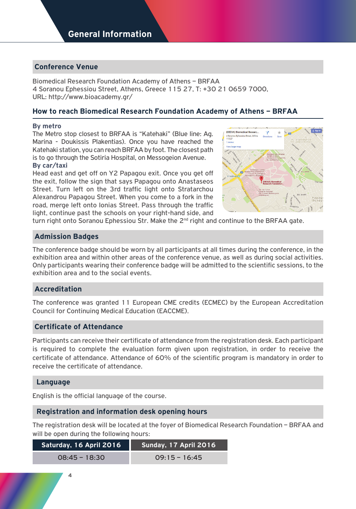#### **Conference Venue**

Biomedical Research Foundation Academy of Athens – BRFAA 4 Soranou Ephessiou Street, Athens, Greece 115 27, T: +30 21 0659 7000, URL: http://www.bioacademy.gr/

#### **How to reach Biomedical Research Foundation Academy of Athens – BRFAA**

#### **By metro**

The Metro stop closest to BRFAA is "Katehaki" (Βlue line: Ag. Marina - Doukissis Plakentias). Once you have reached the Katehaki station, you can reach BRFAA by foot. The closest path is to go through the Sotiria Hospital, on Messogeion Avenue.

#### **By car/taxi**

Head east and get off on Y2 Papagou exit. Once you get off the exit, follow the sign that says Papagou onto Anastaseos Street. Turn left on the 3rd traffic light onto Stratarchou Alexandrou Papagou Street. When you come to a fork in the road, merge left onto Ionias Street. Pass through the traffic light, continue past the schools on your right-hand side, and



turn right onto Soranou Ephessiou Str. Make the  $2<sup>nd</sup>$  right and continue to the BRFAA gate.

#### **Admission Badges**

The conference badge should be worn by all participants at all times during the conference, in the exhibition area and within other areas of the conference venue, as well as during social activities. Only participants wearing their conference badge will be admitted to the scientific sessions, to the exhibition area and to the social events.

#### **Accreditation**

The conference was granted 11 European CME credits (ECMEC) by the European Accreditation Council for Continuing Medical Education (EACCME).

#### **Certificate of Attendance**

Participants can receive their certificate of attendance from the registration desk. Each participant is required to complete the evaluation form given upon registration, in order to receive the certificate of attendance. Attendance of 60% of the scientific program is mandatory in order to receive the certificate of attendance.

#### **Language**

English is the official language of the course.

#### **Registration and information desk opening hours**

The registration desk will be located at the foyer of Biomedical Research Foundation – BRFAA and will be open during the following hours:

| Saturday, 16 April 2016 | Sunday, 17 April 2016 |
|-------------------------|-----------------------|
| $08:45 - 18:30$         | $09:15 - 16:45$       |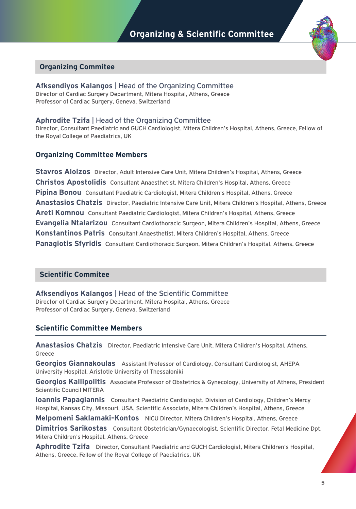

#### **Organizing Commitee**

**Afksendiyos Kalangos** | Head of the Organizing Committee Director of Cardiac Surgery Department, Mitera Hospital, Athens, Greece Professor of Cardiac Surgery, Geneva, Switzerland

#### **Aphrodite Tzifa** | Head of the Organizing Committee

Director, Consultant Paediatric and GUCH Cardiologist, Mitera Children's Hospital, Athens, Greece, Fellow of the Royal College of Paediatrics, UK

#### **Organizing Committee Members**

**Stavros Aloizos** Director, Adult Intensive Care Unit, Mitera Children's Hospital, Athens, Greece **Christos Apostolidis** Consultant Anaesthetist, Mitera Children's Hospital, Athens, Greece **Pipina Bonou** Consultant Paediatric Cardiologist, Mitera Children's Hospital, Athens, Greece **Anastasios Chatzis** Director, Paediatric Intensive Care Unit, Mitera Children's Hospital, Athens, Greece **Areti Komnou** Consultant Paediatric Cardiologist, Mitera Children's Hospital, Athens, Greece **Evangelia Ntalarizou** Consultant Cardiothoracic Surgeon, Mitera Children's Hospital, Athens, Greece **Konstantinos Patris** Consultant Anaesthetist, Mitera Children's Hospital, Athens, Greece **Panagiotis Sfyridis** Consultant Cardiothoracic Surgeon, Mitera Children's Hospital, Athens, Greece

#### **Scientific Commitee**

**Afksendiyos Kalangos** | Head of the Scientific Committee

Director of Cardiac Surgery Department, Mitera Hospital, Athens, Greece Professor of Cardiac Surgery, Geneva, Switzerland

#### **Scientific Committee Members**

**Anastasios Chatzis** Director, Paediatric Intensive Care Unit, Mitera Children's Hospital, Athens, Greece

**Georgios Giannakoulas** Assistant Professor of Cardiology, Consultant Cardiologist, AHEPA University Hospital, Aristotle University of Thessaloniki

**Georgios Kallipolitis** Associate Professor of Obstetrics & Gynecology, University of Athens, President Scientific Council MITERA

**Ioannis Papagiannis** Consultant Paediatric Cardiologist, Division of Cardiology, Children's Mercy Hospital, Kansas City, Missouri, USA, Scientific Associate, Mitera Children's Hospital, Athens, Greece

**Melpomeni Saklamaki-Kontos** NICU Director, Mitera Children's Hospital, Athens, Greece

**Dimitrios Sarikostas** Consultant Obstetrician/Gynaecologist, Scientific Director, Fetal Medicine Dpt, Mitera Children's Hospital, Athens, Greece

**Aphrodite Tzifa** Director, Consultant Paediatric and GUCH Cardiologist, Mitera Children's Hospital, Athens, Greece, Fellow of the Royal College of Paediatrics, UK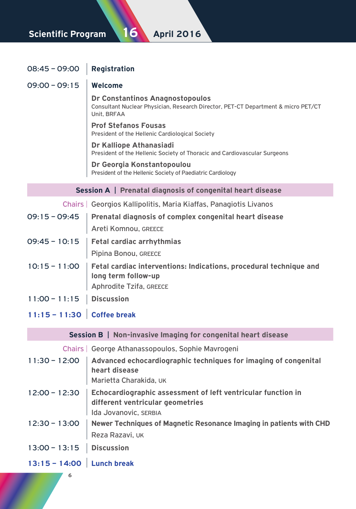### **Scientific Program 16 April 2016**

## 08:45 – 09:00 **Registration** 09:00 – 09:15 **Welcome Dr Constantinos Anagnostopoulos** Consultant Nuclear Physician, Research Director, PET-CT Department & micro PET/CT Unit, BRFAA **Prof Stefanos Fousas** President of the Hellenic Cardiological Society **Dr Kalliope Athanasiadi** President of the Hellenic Society of Thoracic and Cardiovascular Surgeons **Dr Georgia Konstantopoulou** President of the Hellenic Society of Paediatric Cardiology **Session A** | **Prenatal diagnosis of congenital heart disease** Chairs | Georgios Kallipolitis, Maria Kiaffas, Panagiotis Livanos 09:15 – 09:45 **Prenatal diagnosis of complex congenital heart disease**  Areti Komnou, Greece 09:45 – 10:15 **Fetal cardiac arrhythmias** Pipina Bonou, GREECE 10:15 – 11:00 **Fetal cardiac interventions: Indications, procedural technique and long term follow-up** Aphrodite Tzifa, GREECE 11:00 – 11:15 **Discussion 11:15 – 11:30 Coffee break**

#### **Session B** | **Non-invasive Imaging for congenital heart disease**

Chairs | George Athanassopoulos, Sophie Mavrogeni

| $11:30 - 12:00$            | Advanced echocardiographic techniques for imaging of congenital<br>heart disease<br>Marietta Charakida, UK                |
|----------------------------|---------------------------------------------------------------------------------------------------------------------------|
| $12:00 - 12:30$            | Echocardiographic assessment of left ventricular function in<br>different ventricular geometries<br>Ida Jovanovic, SERBIA |
|                            | 12:30 - 13:00   Newer Techniques of Magnetic Resonance Imaging in patients with CHD<br>Reza Razavi, UK                    |
| $13:00 - 13:15$ Discussion |                                                                                                                           |
| 13:15 - 14:00 Lunch break  |                                                                                                                           |

**6**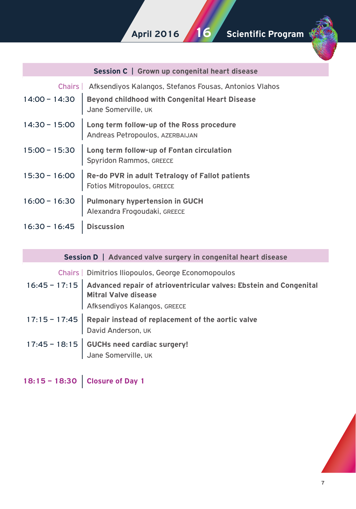

| <b>Session C</b>   Grown up congenital heart disease |                                                                                      |  |
|------------------------------------------------------|--------------------------------------------------------------------------------------|--|
| Chairs L                                             | Afksendiyos Kalangos, Stefanos Fousas, Antonios Vlahos                               |  |
| $14:00 - 14:30$                                      | <b>Beyond childhood with Congenital Heart Disease</b><br>Jane Somerville, UK         |  |
| $14:30 - 15:00$                                      | Long term follow-up of the Ross procedure<br>Andreas Petropoulos, AZERBAIJAN         |  |
| $15:00 - 15:30$                                      | Long term follow-up of Fontan circulation<br><b>Spyridon Rammos, GREECE</b>          |  |
| $15:30 - 16:00$                                      | Re-do PVR in adult Tetralogy of Fallot patients<br><b>Fotios Mitropoulos, GREECE</b> |  |
| $16:00 - 16:30$                                      | <b>Pulmonary hypertension in GUCH</b><br>Alexandra Frogoudaki, GREECE                |  |
| $16:30 - 16:45$                                      | <b>Discussion</b>                                                                    |  |

#### **Session D** | **Advanced valve surgery in congenital heart disease**

Chairs | Dimitrios Iliopoulos, George Economopoulos

- 16:45 17:15 **Advanced repair of atrioventricular valves: Ebstein and Congenital Mitral Valve disease** Afksendiyos Kalangos, GREECE
- 17:15 17:45 **Repair instead of replacement of the aortic valve** David Anderson, UK
- 17:45 18:15 **GUCHs need cardiac surgery!** Jane Somerville, UK
- **18:15 18:30 Closure of Day 1**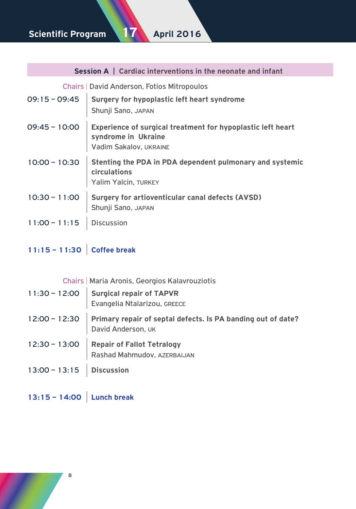## **Scientific Program 17 April 2016**

| <b>Session A</b>   Cardiac interventions in the neonate and infant |                                                                                                                            |  |
|--------------------------------------------------------------------|----------------------------------------------------------------------------------------------------------------------------|--|
| Chairs   David Anderson, Fotios Mitropoulos                        |                                                                                                                            |  |
|                                                                    | 09:15 - 09:45 Surgery for hypoplastic left heart syndrome<br>Shunji Sano, JAPAN                                            |  |
|                                                                    | 09:45 - 10:00 Experience of surgical treatment for hypoplastic left heart<br>syndrome in Ukraine<br>Vadim Sakalov, UKRAINE |  |
|                                                                    | 10:00 - 10:30 Stenting the PDA in PDA dependent pulmonary and systemic<br>circulations<br>Yalim Yalcin, TURKEY             |  |
|                                                                    | 10:30 - 11:00 Surgery for artioventicular canal defects (AVSD)<br>Shunji Sano, JAPAN                                       |  |
| 11:00 - 11:15   Discussion                                         |                                                                                                                            |  |

## **11:15 – 11:30 Coffee break**

Chairs | Maria Aroniς, Georgios Kalavrouziotis

| $11:30 - 12:00$ | <b>Surgical repair of TAPVR</b><br>Evangelia Ntalarizou, GREECE                    |
|-----------------|------------------------------------------------------------------------------------|
| $12:00 - 12:30$ | Primary repair of septal defects. Is PA banding out of date?<br>David Anderson, UK |
| $12:30 - 13:00$ | <b>Repair of Fallot Tetralogy</b><br>Rashad Mahmudov, AZERBAIJAN                   |
| $13:00 - 13:15$ | <b>Discussion</b>                                                                  |

**13:15 – 14:00 Lunch break**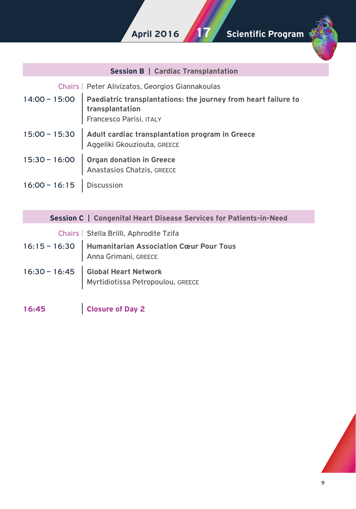

|                            | <b>Session B</b>   Cardiac Transplantation                                                                                   |
|----------------------------|------------------------------------------------------------------------------------------------------------------------------|
|                            | Chairs   Peter Alivizatos, Georgios Giannakoulas                                                                             |
|                            | 14:00 - 15:00   Paediatric transplantations: the journey from heart failure to<br>transplantation<br>Francesco Parisi, ITALY |
|                            | 15:00 - 15:30   Adult cardiac transplantation program in Greece<br>Aggeliki Gkouziouta, GREECE                               |
|                            | 15:30 - 16:00   Organ donation in Greece<br>Anastasios Chatzis, GREECE                                                       |
| 16:00 - 16:15   Discussion |                                                                                                                              |
|                            | <b>Session C</b>   Congenital Heart Disease Services for Patients-in-Need                                                    |
|                            | Chairs   Stella Brilli, Aphrodite Tzifa                                                                                      |
|                            | 16:15 - 16:30   Humanitarian Association Cœur Pour Tous<br>Anna Grimani, GREECE                                              |

- 16:30 16:45 **Global Heart Network** Myrtidiotissa Petropoulou, Greece
- **16:45 Closure of Day 2**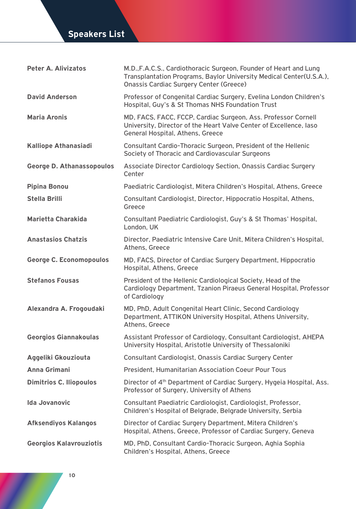## **Speakers List**

| Peter A. Alivizatos              | M.D., F.A.C.S., Cardiothoracic Surgeon, Founder of Heart and Lung<br>Transplantation Programs, Baylor University Medical Center(U.S.A.),<br><b>Onassis Cardiac Surgery Center (Greece)</b> |
|----------------------------------|--------------------------------------------------------------------------------------------------------------------------------------------------------------------------------------------|
| <b>David Anderson</b>            | Professor of Congenital Cardiac Surgery, Evelina London Children's<br>Hospital, Guy's & St Thomas NHS Foundation Trust                                                                     |
| <b>Maria Aronis</b>              | MD, FACS, FACC, FCCP, Cardiac Surgeon, Ass. Professor Cornell<br>University, Director of the Heart Valve Center of Excellence, laso<br>General Hospital, Athens, Greece                    |
| <b>Kalliope Athanasiadi</b>      | Consultant Cardio-Thoracic Surgeon, President of the Hellenic<br>Society of Thoracic and Cardiovascular Surgeons                                                                           |
| <b>George D. Athanassopoulos</b> | Associate Director Cardiology Section, Onassis Cardiac Surgery<br>Center                                                                                                                   |
| Pipina Bonou                     | Paediatric Cardiologist, Mitera Children's Hospital, Athens, Greece                                                                                                                        |
| Stella Brilli                    | Consultant Cardiologist, Director, Hippocratio Hospital, Athens,<br>Greece                                                                                                                 |
| Marietta Charakida               | Consultant Paediatric Cardiologist, Guy's & St Thomas' Hospital,<br>London, UK                                                                                                             |
| <b>Anastasios Chatzis</b>        | Director, Paediatric Intensive Care Unit, Mitera Children's Hospital,<br>Athens, Greece                                                                                                    |
| George C. Economopoulos          | MD, FACS, Director of Cardiac Surgery Department, Hippocratio<br>Hospital, Athens, Greece                                                                                                  |
| <b>Stefanos Fousas</b>           | President of the Hellenic Cardiological Society, Head of the<br>Cardiology Department, Tzanion Piraeus General Hospital, Professor<br>of Cardiology                                        |
| Alexandra A. Frogoudaki          | MD, PhD, Adult Congenital Heart Clinic, Second Cardiology<br>Department, ATTIKON University Hospital, Athens University,<br>Athens, Greece                                                 |
| Georgios Giannakoulas            | Assistant Professor of Cardiology, Consultant Cardiologist, AHEPA<br>University Hospital, Aristotle University of Thessaloniki                                                             |
| Aggeliki Gkouziouta              | Consultant Cardiologist, Onassis Cardiac Surgery Center                                                                                                                                    |
| Anna Grimani                     | <b>President. Humanitarian Association Coeur Pour Tous</b>                                                                                                                                 |
| <b>Dimitrios C. Iliopoulos</b>   | Director of 4 <sup>th</sup> Department of Cardiac Surgery, Hygeia Hospital, Ass.<br>Professor of Surgery, University of Athens                                                             |
| <b>Ida Jovanovic</b>             | Consultant Paediatric Cardiologist, Cardiologist, Professor,<br>Children's Hospital of Belgrade, Belgrade University, Serbia                                                               |
| <b>Afksendiyos Kalangos</b>      | Director of Cardiac Surgery Department, Mitera Children's<br>Hospital, Athens, Greece, Professor of Cardiac Surgery, Geneva                                                                |
| <b>Georgios Kalavrouziotis</b>   | MD, PhD, Consultant Cardio-Thoracic Surgeon, Aghia Sophia<br>Children's Hospital, Athens, Greece                                                                                           |